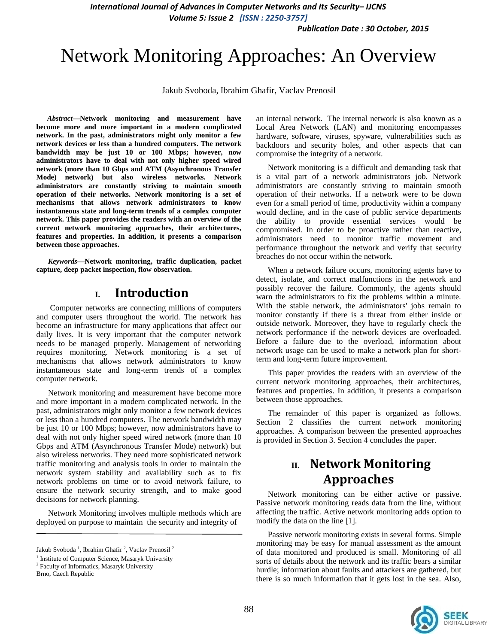*International Journal of Advances in Computer Networks and Its Security– IJCNS Volume 5: Issue 2 [ISSN : 2250-3757]* 

*Publication Date : 30 October, 2015*

# Network Monitoring Approaches: An Overview

Jakub Svoboda, Ibrahim Ghafir, Vaclav Prenosil

*Abstract***—Network monitoring and measurement have become more and more important in a modern complicated network. In the past, administrators might only monitor a few network devices or less than a hundred computers. The network bandwidth may be just 10 or 100 Mbps; however, now administrators have to deal with not only higher speed wired network (more than 10 Gbps and ATM (Asynchronous Transfer Mode) network) but also wireless networks. Network administrators are constantly striving to maintain smooth operation of their networks. Network monitoring is a set of mechanisms that allows network administrators to know instantaneous state and long-term trends of a complex computer network. This paper provides the readers with an overview of the current network monitoring approaches, their architectures, features and properties. In addition, it presents a comparison between those approaches.**

*Keywords—***Network monitoring, traffic duplication, packet capture, deep packet inspection, flow observation.**

## **I. Introduction**

Computer networks are connecting millions of computers and computer users throughout the world. The network has become an infrastructure for many applications that affect our daily lives. It is very important that the computer network needs to be managed properly. Management of networking requires monitoring. Network monitoring is a set of mechanisms that allows network administrators to know instantaneous state and long-term trends of a complex computer network.

Network monitoring and measurement have become more and more important in a modern complicated network. In the past, administrators might only monitor a few network devices or less than a hundred computers. The network bandwidth may be just 10 or 100 Mbps; however, now administrators have to deal with not only higher speed wired network (more than 10 Gbps and ATM (Asynchronous Transfer Mode) network) but also wireless networks. They need more sophisticated network traffic monitoring and analysis tools in order to maintain the network system stability and availability such as to fix network problems on time or to avoid network failure, to ensure the network security strength, and to make good decisions for network planning.

Network Monitoring involves multiple methods which are deployed on purpose to maintain the security and integrity of

Brno, Czech Republic

an internal network. The internal network is also known as a Local Area Network (LAN) and monitoring encompasses hardware, software, viruses, spyware, vulnerabilities such as backdoors and security holes, and other aspects that can compromise the integrity of a network.

Network monitoring is a difficult and demanding task that is a vital part of a network administrators job. Network administrators are constantly striving to maintain smooth operation of their networks. If a network were to be down even for a small period of time, productivity within a company would decline, and in the case of public service departments the ability to provide essential services would be compromised. In order to be proactive rather than reactive, administrators need to monitor traffic movement and performance throughout the network and verify that security breaches do not occur within the network.

When a network failure occurs, monitoring agents have to detect, isolate, and correct malfunctions in the network and possibly recover the failure. Commonly, the agents should warn the administrators to fix the problems within a minute. With the stable network, the administrators' jobs remain to monitor constantly if there is a threat from either inside or outside network. Moreover, they have to regularly check the network performance if the network devices are overloaded. Before a failure due to the overload, information about network usage can be used to make a network plan for shortterm and long-term future improvement.

This paper provides the readers with an overview of the current network monitoring approaches, their architectures, features and properties. In addition, it presents a comparison between those approaches.

The remainder of this paper is organized as follows. Section 2 classifies the current network monitoring approaches. A comparison between the presented approaches is provided in Section 3. Section 4 concludes the paper.

# **II. Network Monitoring Approaches**

Network monitoring can be either active or passive. Passive network monitoring reads data from the line, without affecting the traffic. Active network monitoring adds option to modify the data on the line [1].

Passive network monitoring exists in several forms. Simple monitoring may be easy for manual assessment as the amount of data monitored and produced is small. Monitoring of all sorts of details about the network and its traffic bears a similar hurdle; information about faults and attackers are gathered, but there is so much information that it gets lost in the sea. Also,



Jakub Svoboda<sup>1</sup>, Ibrahim Ghafir<sup>2</sup>, Vaclav Prenosil<sup>2</sup>

<sup>&</sup>lt;sup>1</sup> Institute of Computer Science, Masaryk University

<sup>&</sup>lt;sup>2</sup> Faculty of Informatics, Masaryk University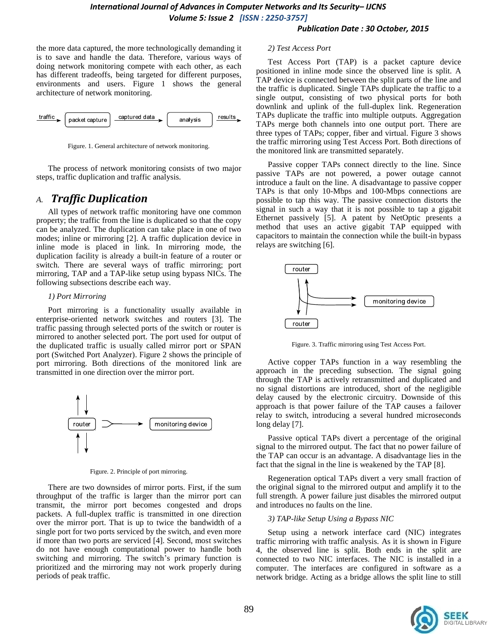the more data captured, the more technologically demanding it is to save and handle the data. Therefore, various ways of doing network monitoring compete with each other, as each has different tradeoffs, being targeted for different purposes, environments and users. Figure 1 shows the general architecture of network monitoring.



Figure. 1. General architecture of network monitoring.

The process of network monitoring consists of two major steps, traffic duplication and traffic analysis.

### *A. Traffic Duplication*

All types of network traffic monitoring have one common property; the traffic from the line is duplicated so that the copy can be analyzed. The duplication can take place in one of two modes; inline or mirroring [2]. A traffic duplication device in inline mode is placed in link. In mirroring mode, the duplication facility is already a built-in feature of a router or switch. There are several ways of traffic mirroring; port mirroring, TAP and a TAP-like setup using bypass NICs. The following subsections describe each way.

### *1) Port Mirroring*

Port mirroring is a functionality usually available in enterprise-oriented network switches and routers [3]. The traffic passing through selected ports of the switch or router is mirrored to another selected port. The port used for output of the duplicated traffic is usually called mirror port or SPAN port (Switched Port Analyzer). Figure 2 shows the principle of port mirroring. Both directions of the monitored link are transmitted in one direction over the mirror port.



Figure. 2. Principle of port mirroring.

There are two downsides of mirror ports. First, if the sum throughput of the traffic is larger than the mirror port can transmit, the mirror port becomes congested and drops packets. A full-duplex traffic is transmitted in one direction over the mirror port. That is up to twice the bandwidth of a single port for two ports serviced by the switch, and even more if more than two ports are serviced [4]. Second, most switches do not have enough computational power to handle both switching and mirroring. The switch's primary function is prioritized and the mirroring may not work properly during periods of peak traffic.

### *2) Test Access Port*

Test Access Port (TAP) is a packet capture device positioned in inline mode since the observed line is split. A TAP device is connected between the split parts of the line and the traffic is duplicated. Single TAPs duplicate the traffic to a single output, consisting of two physical ports for both downlink and uplink of the full-duplex link. Regeneration TAPs duplicate the traffic into multiple outputs. Aggregation TAPs merge both channels into one output port. There are three types of TAPs; copper, fiber and virtual. Figure 3 shows the traffic mirroring using Test Access Port. Both directions of the monitored link are transmitted separately.

Passive copper TAPs connect directly to the line. Since passive TAPs are not powered, a power outage cannot introduce a fault on the line. A disadvantage to passive copper TAPs is that only 10-Mbps and 100-Mbps connections are possible to tap this way. The passive connection distorts the signal in such a way that it is not possible to tap a gigabit Ethernet passively [5]. A patent by NetOptic presents a method that uses an active gigabit TAP equipped with capacitors to maintain the connection while the built-in bypass relays are switching [6].



Figure. 3. Traffic mirroring using Test Access Port.

Active copper TAPs function in a way resembling the approach in the preceding subsection. The signal going through the TAP is actively retransmitted and duplicated and no signal distortions are introduced, short of the negligible delay caused by the electronic circuitry. Downside of this approach is that power failure of the TAP causes a failover relay to switch, introducing a several hundred microseconds long delay [7].

Passive optical TAPs divert a percentage of the original signal to the mirrored output. The fact that no power failure of the TAP can occur is an advantage. A disadvantage lies in the fact that the signal in the line is weakened by the TAP [8].

Regeneration optical TAPs divert a very small fraction of the original signal to the mirrored output and amplify it to the full strength. A power failure just disables the mirrored output and introduces no faults on the line.

### *3) TAP-like Setup Using a Bypass NIC*

Setup using a network interface card (NIC) integrates traffic mirroring with traffic analysis. As it is shown in Figure 4, the observed line is split. Both ends in the split are connected to two NIC interfaces. The NIC is installed in a computer. The interfaces are configured in software as a network bridge. Acting as a bridge allows the split line to still

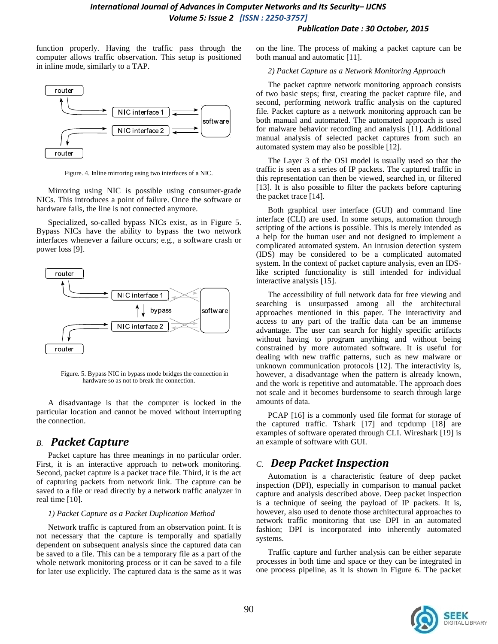function properly. Having the traffic pass through the computer allows traffic observation. This setup is positioned in inline mode, similarly to a TAP.



Figure. 4. Inline mirroring using two interfaces of a NIC.

Mirroring using NIC is possible using consumer-grade NICs. This introduces a point of failure. Once the software or hardware fails, the line is not connected anymore.

Specialized, so-called bypass NICs exist, as in Figure 5. Bypass NICs have the ability to bypass the two network interfaces whenever a failure occurs; e.g., a software crash or power loss [9].



Figure. 5. Bypass NIC in bypass mode bridges the connection in hardware so as not to break the connection.

A disadvantage is that the computer is locked in the particular location and cannot be moved without interrupting the connection.

### *B. Packet Capture*

Packet capture has three meanings in no particular order. First, it is an interactive approach to network monitoring. Second, packet capture is a packet trace file. Third, it is the act of capturing packets from network link. The capture can be saved to a file or read directly by a network traffic analyzer in real time [10].

#### *1) Packet Capture as a Packet Duplication Method*

Network traffic is captured from an observation point. It is not necessary that the capture is temporally and spatially dependent on subsequent analysis since the captured data can be saved to a file. This can be a temporary file as a part of the whole network monitoring process or it can be saved to a file for later use explicitly. The captured data is the same as it was on the line. The process of making a packet capture can be both manual and automatic [11].

### *2) Packet Capture as a Network Monitoring Approach*

The packet capture network monitoring approach consists of two basic steps; first, creating the packet capture file, and second, performing network traffic analysis on the captured file. Packet capture as a network monitoring approach can be both manual and automated. The automated approach is used for malware behavior recording and analysis [11]. Additional manual analysis of selected packet captures from such an automated system may also be possible [12].

The Layer 3 of the OSI model is usually used so that the traffic is seen as a series of IP packets. The captured traffic in this representation can then be viewed, searched in, or filtered [13]. It is also possible to filter the packets before capturing the packet trace [14].

Both graphical user interface (GUI) and command line interface (CLI) are used. In some setups, automation through scripting of the actions is possible. This is merely intended as a help for the human user and not designed to implement a complicated automated system. An intrusion detection system (IDS) may be considered to be a complicated automated system. In the context of packet capture analysis, even an IDSlike scripted functionality is still intended for individual interactive analysis [15].

The accessibility of full network data for free viewing and searching is unsurpassed among all the architectural approaches mentioned in this paper. The interactivity and access to any part of the traffic data can be an immense advantage. The user can search for highly specific artifacts without having to program anything and without being constrained by more automated software. It is useful for dealing with new traffic patterns, such as new malware or unknown communication protocols [12]. The interactivity is, however, a disadvantage when the pattern is already known, and the work is repetitive and automatable. The approach does not scale and it becomes burdensome to search through large amounts of data.

PCAP [16] is a commonly used file format for storage of the captured traffic. Tshark [17] and tcpdump [18] are examples of software operated through CLI. Wireshark [19] is an example of software with GUI.

### *C. Deep Packet Inspection*

Automation is a characteristic feature of deep packet inspection (DPI), especially in comparison to manual packet capture and analysis described above. Deep packet inspection is a technique of seeing the payload of IP packets. It is, however, also used to denote those architectural approaches to network traffic monitoring that use DPI in an automated fashion; DPI is incorporated into inherently automated systems.

Traffic capture and further analysis can be either separate processes in both time and space or they can be integrated in one process pipeline, as it is shown in Figure 6. The packet

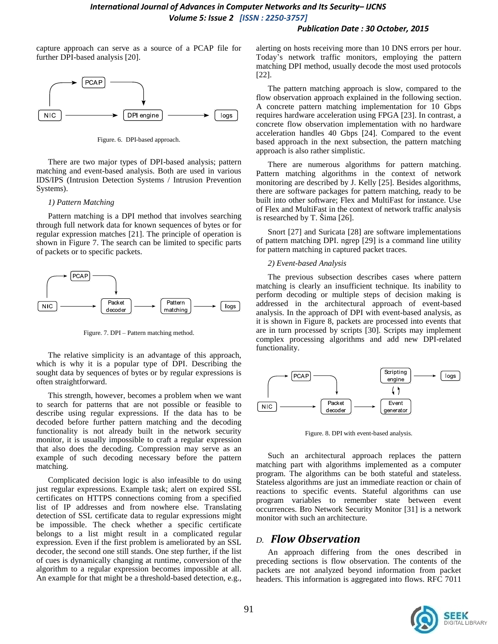capture approach can serve as a source of a PCAP file for further DPI-based analysis [20].



Figure. 6. DPI-based approach.

There are two major types of DPI-based analysis; pattern matching and event-based analysis. Both are used in various IDS/IPS (Intrusion Detection Systems / Intrusion Prevention Systems).

#### *1) Pattern Matching*

Pattern matching is a DPI method that involves searching through full network data for known sequences of bytes or for regular expression matches [21]. The principle of operation is shown in Figure 7. The search can be limited to specific parts of packets or to specific packets.



Figure. 7. DPI – Pattern matching method.

The relative simplicity is an advantage of this approach, which is why it is a popular type of DPI. Describing the sought data by sequences of bytes or by regular expressions is often straightforward.

This strength, however, becomes a problem when we want to search for patterns that are not possible or feasible to describe using regular expressions. If the data has to be decoded before further pattern matching and the decoding functionality is not already built in the network security monitor, it is usually impossible to craft a regular expression that also does the decoding. Compression may serve as an example of such decoding necessary before the pattern matching.

Complicated decision logic is also infeasible to do using just regular expressions. Example task; alert on expired SSL certificates on HTTPS connections coming from a specified list of IP addresses and from nowhere else. Translating detection of SSL certificate data to regular expressions might be impossible. The check whether a specific certificate belongs to a list might result in a complicated regular expression. Even if the first problem is ameliorated by an SSL decoder, the second one still stands. One step further, if the list of cues is dynamically changing at runtime, conversion of the algorithm to a regular expression becomes impossible at all. An example for that might be a threshold-based detection, e.g.,

alerting on hosts receiving more than 10 DNS errors per hour. Today's network traffic monitors, employing the pattern matching DPI method, usually decode the most used protocols [22].

The pattern matching approach is slow, compared to the flow observation approach explained in the following section. A concrete pattern matching implementation for 10 Gbps requires hardware acceleration using FPGA [23]. In contrast, a concrete flow observation implementation with no hardware acceleration handles 40 Gbps [24]. Compared to the event based approach in the next subsection, the pattern matching approach is also rather simplistic.

There are numerous algorithms for pattern matching. Pattern matching algorithms in the context of network monitoring are described by J. Kelly [25]. Besides algorithms, there are software packages for pattern matching, ready to be built into other software; Flex and MultiFast for instance. Use of Flex and MultiFast in the context of network traffic analysis is researched by T. Šima [26].

Snort [27] and Suricata [28] are software implementations of pattern matching DPI. ngrep [29] is a command line utility for pattern matching in captured packet traces.

### *2) Event-based Analysis*

The previous subsection describes cases where pattern matching is clearly an insufficient technique. Its inability to perform decoding or multiple steps of decision making is addressed in the architectural approach of event-based analysis. In the approach of DPI with event-based analysis, as it is shown in Figure 8, packets are processed into events that are in turn processed by scripts [30]. Scripts may implement complex processing algorithms and add new DPI-related functionality.



Figure. 8. DPI with event-based analysis.

Such an architectural approach replaces the pattern matching part with algorithms implemented as a computer program. The algorithms can be both stateful and stateless. Stateless algorithms are just an immediate reaction or chain of reactions to specific events. Stateful algorithms can use program variables to remember state between event occurrences. Bro Network Security Monitor [31] is a network monitor with such an architecture.

### *D. Flow Observation*

An approach differing from the ones described in preceding sections is flow observation. The contents of the packets are not analyzed beyond information from packet headers. This information is aggregated into flows. RFC 7011

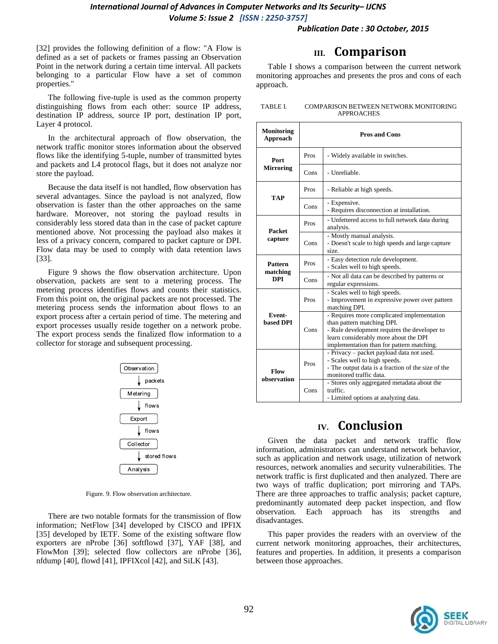[32] provides the following definition of a flow: "A Flow is defined as a set of packets or frames passing an Observation Point in the network during a certain time interval. All packets belonging to a particular Flow have a set of common properties."

The following five-tuple is used as the common property distinguishing flows from each other: source IP address, destination IP address, source IP port, destination IP port, Layer 4 protocol.

In the architectural approach of flow observation, the network traffic monitor stores information about the observed flows like the identifying 5-tuple, number of transmitted bytes and packets and L4 protocol flags, but it does not analyze nor store the payload.

Because the data itself is not handled, flow observation has several advantages. Since the payload is not analyzed, flow observation is faster than the other approaches on the same hardware. Moreover, not storing the payload results in considerably less stored data than in the case of packet capture mentioned above. Not processing the payload also makes it less of a privacy concern, compared to packet capture or DPI. Flow data may be used to comply with data retention laws [33].

Figure 9 shows the flow observation architecture. Upon observation, packets are sent to a metering process. The metering process identifies flows and counts their statistics. From this point on, the original packets are not processed. The metering process sends the information about flows to an export process after a certain period of time. The metering and export processes usually reside together on a network probe. The export process sends the finalized flow information to a collector for storage and subsequent processing.



Figure. 9. Flow observation architecture.

There are two notable formats for the transmission of flow information; NetFlow [34] developed by CISCO and IPFIX [35] developed by IETF. Some of the existing software flow exporters are nProbe [36] softflowd [37], YAF [38], and FlowMon [39]; selected flow collectors are nProbe [36], nfdump [40], flowd [41], IPFIXcol [42], and SiLK [43].

### **III. Comparison**

Table I shows a comparison between the current network monitoring approaches and presents the pros and cons of each approach.

| TABLE I. | COMPARISON BETWEEN NETWORK MONITORING |
|----------|---------------------------------------|
|          | <b>APPROACHES</b>                     |

| <b>Monitoring</b><br>Approach |      | <b>Pros and Cons</b>                                                                                                                                                                                           |
|-------------------------------|------|----------------------------------------------------------------------------------------------------------------------------------------------------------------------------------------------------------------|
| Port<br><b>Mirroring</b>      | Pros | - Widely available in switches.                                                                                                                                                                                |
|                               | Cons | - Unreliable.                                                                                                                                                                                                  |
|                               | Pros | - Reliable at high speeds.                                                                                                                                                                                     |
| <b>TAP</b>                    | Cons | - Expensive.<br>- Requires disconnection at installation.                                                                                                                                                      |
| <b>Packet</b>                 | Pros | - Unfettered access to full network data during<br>analysis.                                                                                                                                                   |
| capture                       | Cons | - Mostly manual analysis.<br>- Doesn't scale to high speeds and large capture<br>size.                                                                                                                         |
| <b>Pattern</b>                | Pros | - Easy detection rule development.<br>- Scales well to high speeds.                                                                                                                                            |
| matching<br><b>DPI</b>        | Cons | - Not all data can be described by patterns or<br>regular expressions.                                                                                                                                         |
|                               | Pros | - Scales well to high speeds.<br>- Improvement in expressive power over pattern<br>matching DPI.                                                                                                               |
| Event-<br><b>based DPI</b>    | Cons | - Requires more complicated implementation<br>than pattern matching DPI.<br>- Rule development requires the developer to<br>learn considerably more about the DPI<br>implementation than for pattern matching. |
| Flow<br>observation           | Pros | - Privacy - packet payload data not used.<br>- Scales well to high speeds.<br>- The output data is a fraction of the size of the<br>monitored traffic data.                                                    |
|                               | Cons | - Stores only aggregated metadata about the<br>traffic.<br>- Limited options at analyzing data.                                                                                                                |

# **IV. Conclusion**

Given the data packet and network traffic flow information, administrators can understand network behavior, such as application and network usage, utilization of network resources, network anomalies and security vulnerabilities. The network traffic is first duplicated and then analyzed. There are two ways of traffic duplication; port mirroring and TAPs. There are three approaches to traffic analysis; packet capture, predominantly automated deep packet inspection, and flow observation. Each approach has its strengths and disadvantages.

This paper provides the readers with an overview of the current network monitoring approaches, their architectures, features and properties. In addition, it presents a comparison between those approaches.